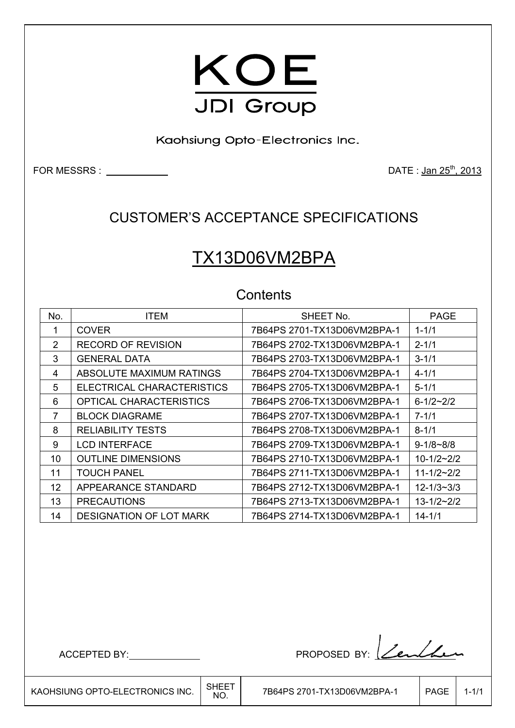

Kaohsiung Opto-Electronics Inc.

FOR MESSRS : DATE : Jan 25th, 2013

### CUSTOMER'S ACCEPTANCE SPECIFICATIONS

# TX13D06VM2BPA

### **Contents**

| No. | <b>ITEM</b>                    | SHEET No.                   | <b>PAGE</b>         |
|-----|--------------------------------|-----------------------------|---------------------|
| 1   | <b>COVER</b>                   | 7B64PS 2701-TX13D06VM2BPA-1 | $1 - 1/1$           |
| 2   | <b>RECORD OF REVISION</b>      | 7B64PS 2702-TX13D06VM2BPA-1 | $2 - 1/1$           |
| 3   | <b>GENERAL DATA</b>            | 7B64PS 2703-TX13D06VM2BPA-1 | $3 - 1/1$           |
| 4   | ABSOLUTE MAXIMUM RATINGS       | 7B64PS 2704-TX13D06VM2BPA-1 | $4 - 1/1$           |
| 5   | ELECTRICAL CHARACTERISTICS     | 7B64PS 2705-TX13D06VM2BPA-1 | $5 - 1/1$           |
| 6   | <b>OPTICAL CHARACTERISTICS</b> | 7B64PS 2706-TX13D06VM2BPA-1 | $6 - 1/2 - 2/2$     |
| 7   | <b>BLOCK DIAGRAME</b>          |                             | $7 - 1/1$           |
| 8   | <b>RELIABILITY TESTS</b>       | 7B64PS 2708-TX13D06VM2BPA-1 | $8 - 1/1$           |
| 9   | <b>LCD INTERFACE</b>           | 7B64PS 2709-TX13D06VM2BPA-1 | $9 - 1/8 - 8/8$     |
| 10  | <b>OUTLINE DIMENSIONS</b>      | 7B64PS 2710-TX13D06VM2BPA-1 | $10 - 1/2 - 2/2$    |
| 11  | <b>TOUCH PANEL</b>             | 7B64PS 2711-TX13D06VM2BPA-1 | $11 - 1/2 - 2/2$    |
| 12  | APPEARANCE STANDARD            | 7B64PS 2712-TX13D06VM2BPA-1 | $12 - 1/3 - 3/3$    |
| 13  | <b>PRECAUTIONS</b>             | 7B64PS 2713-TX13D06VM2BPA-1 | $13 - 1/2 \sim 2/2$ |
| 14  | <b>DESIGNATION OF LOT MARK</b> | 7B64PS 2714-TX13D06VM2BPA-1 | $14 - 1/1$          |

ACCEPTED BY: PROPOSED BY: <u>Lendhe</u>n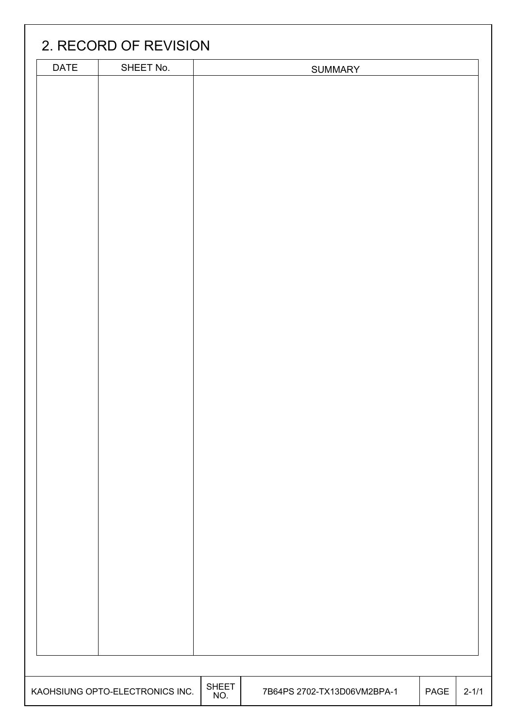|      | 2. RECORD OF REVISION           |              |                             |      |           |
|------|---------------------------------|--------------|-----------------------------|------|-----------|
| DATE | SHEET No.                       |              | <b>SUMMARY</b>              |      |           |
|      |                                 |              |                             |      |           |
|      |                                 |              |                             |      |           |
|      |                                 |              |                             |      |           |
|      |                                 |              |                             |      |           |
|      |                                 |              |                             |      |           |
|      |                                 |              |                             |      |           |
|      |                                 |              |                             |      |           |
|      |                                 |              |                             |      |           |
|      |                                 |              |                             |      |           |
|      |                                 |              |                             |      |           |
|      |                                 |              |                             |      |           |
|      |                                 |              |                             |      |           |
|      |                                 |              |                             |      |           |
|      |                                 |              |                             |      |           |
|      |                                 |              |                             |      |           |
|      |                                 |              |                             |      |           |
|      |                                 |              |                             |      |           |
|      |                                 |              |                             |      |           |
|      |                                 |              |                             |      |           |
|      |                                 |              |                             |      |           |
|      |                                 |              |                             |      |           |
|      |                                 |              |                             |      |           |
|      |                                 |              |                             |      |           |
|      |                                 |              |                             |      |           |
|      |                                 |              |                             |      |           |
|      |                                 |              |                             |      |           |
|      |                                 |              |                             |      |           |
|      |                                 |              |                             |      |           |
|      |                                 |              |                             |      |           |
|      |                                 |              |                             |      |           |
|      |                                 |              |                             |      |           |
|      |                                 |              |                             |      |           |
|      |                                 |              |                             |      |           |
|      |                                 |              |                             |      |           |
|      |                                 |              |                             |      |           |
|      |                                 | <b>SHEET</b> |                             |      |           |
|      | KAOHSIUNG OPTO-ELECTRONICS INC. | NO.          | 7B64PS 2702-TX13D06VM2BPA-1 | PAGE | $2 - 1/1$ |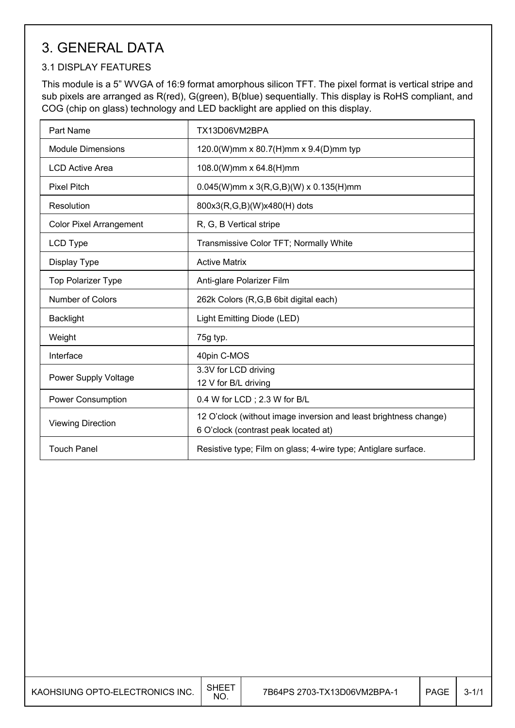# 3. GENERAL DATA

#### 3.1 DISPLAY FEATURES

This module is a 5" WVGA of 16:9 format amorphous silicon TFT. The pixel format is vertical stripe and sub pixels are arranged as R(red), G(green), B(blue) sequentially. This display is RoHS compliant, and COG (chip on glass) technology and LED backlight are applied on this display.

| Part Name                      | TX13D06VM2BPA                                                                                            |
|--------------------------------|----------------------------------------------------------------------------------------------------------|
| <b>Module Dimensions</b>       | 120.0(W)mm x 80.7(H)mm x 9.4(D)mm typ                                                                    |
| <b>LCD Active Area</b>         | 108.0(W)mm x 64.8(H)mm                                                                                   |
| <b>Pixel Pitch</b>             | $0.045(W)$ mm x 3(R,G,B)(W) x 0.135(H)mm                                                                 |
| Resolution                     | 800x3(R,G,B)(W)x480(H) dots                                                                              |
| <b>Color Pixel Arrangement</b> | R, G, B Vertical stripe                                                                                  |
| LCD Type                       | Transmissive Color TFT; Normally White                                                                   |
| Display Type                   | <b>Active Matrix</b>                                                                                     |
| <b>Top Polarizer Type</b>      | Anti-glare Polarizer Film                                                                                |
| Number of Colors               | 262k Colors (R,G,B 6bit digital each)                                                                    |
| <b>Backlight</b>               | Light Emitting Diode (LED)                                                                               |
| Weight                         | 75g typ.                                                                                                 |
| Interface                      | 40pin C-MOS                                                                                              |
| <b>Power Supply Voltage</b>    | 3.3V for LCD driving                                                                                     |
|                                | 12 V for B/L driving                                                                                     |
| <b>Power Consumption</b>       | 0.4 W for LCD; 2.3 W for B/L                                                                             |
| <b>Viewing Direction</b>       | 12 O'clock (without image inversion and least brightness change)<br>6 O'clock (contrast peak located at) |
| <b>Touch Panel</b>             | Resistive type; Film on glass; 4-wire type; Antiglare surface.                                           |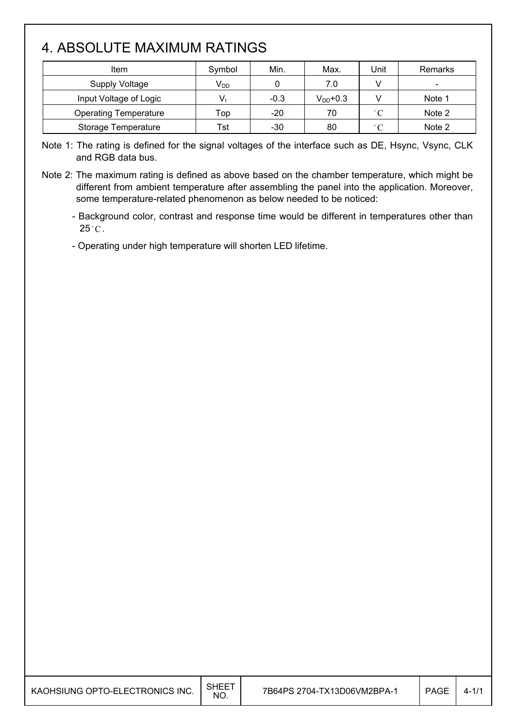## 4. ABSOLUTE MAXIMUM RATINGS

| Item                         | Symbol   | Min.   | Max.          | Unit              | Remarks                  |
|------------------------------|----------|--------|---------------|-------------------|--------------------------|
| <b>Supply Voltage</b>        | $V_{DD}$ |        | 7.0           |                   | $\overline{\phantom{0}}$ |
| Input Voltage of Logic       |          | $-0.3$ | $V_{DD}$ +0.3 |                   | Note 1                   |
| <b>Operating Temperature</b> | Top      | $-20$  | 70            | $^{\circ}$ C      | Note 2                   |
| Storage Temperature          | Tst      | $-30$  | 80            | $^{\circ}$ $\cap$ | Note 2                   |

Note 1: The rating is defined for the signal voltages of the interface such as DE, Hsync, Vsync, CLK and RGB data bus.

Note 2: The maximum rating is defined as above based on the chamber temperature, which might be different from ambient temperature after assembling the panel into the application. Moreover, some temperature-related phenomenon as below needed to be noticed:

- Background color, contrast and response time would be different in temperatures other than  $25^{\circ}$ C.

- Operating under high temperature will shorten LED lifetime.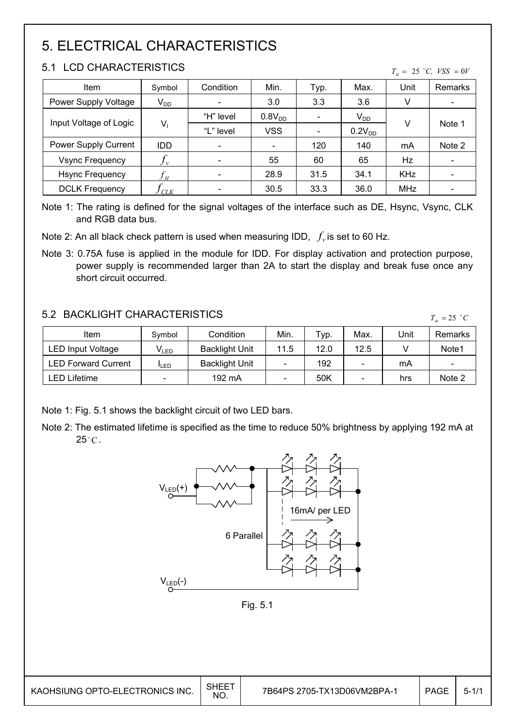# 5. ELECTRICAL CHARACTERISTICS

### 5.1 LCD CHARACTERISTICS

| Item                   | Symbol     | Condition                | Min.               | Typ.                     | Max.               | Unit       | Remarks |
|------------------------|------------|--------------------------|--------------------|--------------------------|--------------------|------------|---------|
| Power Supply Voltage   | $V_{DD}$   |                          | 3.0                | 3.3                      | 3.6                | V          |         |
| Input Voltage of Logic |            | "H" level                | 0.8V <sub>DD</sub> |                          | $V_{DD}$           |            |         |
|                        | $V_1$      | "L" level                | <b>VSS</b>         | $\overline{\phantom{a}}$ | 0.2V <sub>DD</sub> | V          | Note 1  |
| Power Supply Current   | <b>IDD</b> | $\overline{\phantom{a}}$ |                    | 120                      | 140                | mA         | Note 2  |
| <b>Vsync Frequency</b> | $J\nu$     |                          | 55                 | 60                       | 65                 | Hz         |         |
| <b>Hsync Frequency</b> |            |                          | 28.9               | 31.5                     | 34.1               | <b>KHz</b> |         |
| <b>DCLK Frequency</b>  | <b>CLK</b> |                          | 30.5               | 33.3                     | 36.0               | <b>MHz</b> |         |

Note 1: The rating is defined for the signal voltages of the interface such as DE, Hsync, Vsync, CLK and RGB data bus.

Note 2: An all black check pattern is used when measuring IDD,  $f_v$  is set to 60 Hz.

Note 3: 0.75A fuse is applied in the module for IDD. For display activation and protection purpose, power supply is recommended larger than 2A to start the display and break fuse once any short circuit occurred.

### 5.2 BACKLIGHT CHARACTERISTICS

| 3.2 DAUNLIUM I UMARAU I ERISTIUS.<br>$T_a = 25$ °C |                  |                       |      |      |      |      |                          |  |
|----------------------------------------------------|------------------|-----------------------|------|------|------|------|--------------------------|--|
| Item                                               | Symbol           | Condition             | Min. | Typ. | Max. | Unit | Remarks                  |  |
| <b>LED Input Voltage</b>                           | V <sub>led</sub> | <b>Backlight Unit</b> | 11.5 | 12.0 | 12.5 |      | Note1                    |  |
| <b>LED Forward Current</b>                         | <b>I</b> LED     | <b>Backlight Unit</b> |      | 192  | -    | mA   | $\overline{\phantom{a}}$ |  |
| LED Lifetime                                       |                  | 192 mA                |      | 50K  |      | hrs  | Note 2                   |  |

Note 1: Fig. 5.1 shows the backlight circuit of two LED bars.

Note 2: The estimated lifetime is specified as the time to reduce 50% brightness by applying 192 mA at  $25^{\circ}$ C.



Fig. 5.1

 $\mathsf{I}$ 

 $T_a = 25$  °C, *VSS* = 0*V*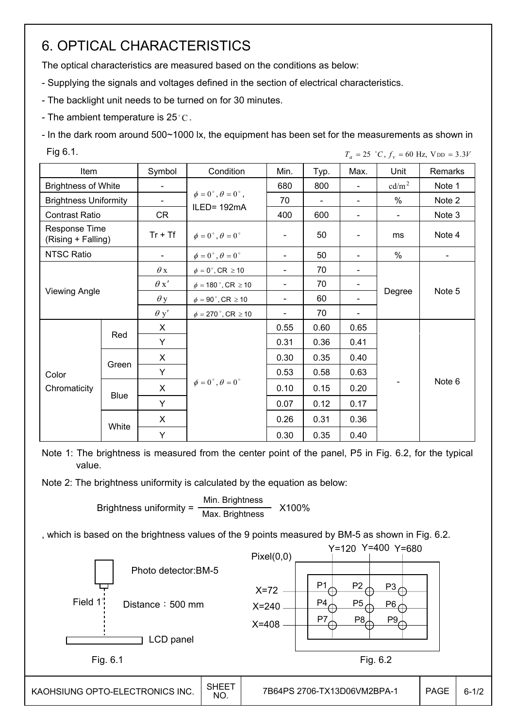# 6. OPTICAL CHARACTERISTICS

The optical characteristics are measured based on the conditions as below:

- Supplying the signals and voltages defined in the section of electrical characteristics.
- The backlight unit needs to be turned on for 30 minutes.
- The ambient temperature is 25 °C.

- In the dark room around 500~1000 lx, the equipment has been set for the measurements as shown in Fig 6.1.  $T_a = 25$   $°C$ ,  $f_v = 60$  Hz,  $V_{DD} = 3.3V$ 

| Item                                |             | Symbol         | Condition                                | Min.                     | Typ.           | Max.           | Unit              | Remarks        |
|-------------------------------------|-------------|----------------|------------------------------------------|--------------------------|----------------|----------------|-------------------|----------------|
| <b>Brightness of White</b>          |             |                |                                          | 680                      | 800            | $\blacksquare$ | cd/m <sup>2</sup> | Note 1         |
| <b>Brightness Uniformity</b>        |             | $\blacksquare$ | $\phi = 0^{\circ}, \theta = 0^{\circ}$ , | 70                       | $\blacksquare$ | $\blacksquare$ | $\%$              | Note 2         |
| <b>Contrast Ratio</b>               |             | CR             | ILED= 192mA                              | 400                      | 600            | $\blacksquare$ | $\blacksquare$    | Note 3         |
| Response Time<br>(Rising + Falling) |             | $Tr + Tf$      | $\phi = 0^{\circ}, \theta = 0^{\circ}$   |                          | 50             |                | ms                | Note 4         |
| <b>NTSC Ratio</b>                   |             | $\blacksquare$ | $\phi = 0^{\circ}, \theta = 0^{\circ}$   | $\blacksquare$           | 50             |                | $\%$              | $\blacksquare$ |
|                                     |             | $\theta$ x     | $\phi = 0^\circ$ , CR $\geq 10$          | $\blacksquare$           | 70             |                |                   |                |
|                                     |             | $\theta x'$    | $\phi = 180$ °, CR $\geq 10$             | $\overline{\phantom{a}}$ | 70             |                |                   |                |
| <b>Viewing Angle</b>                |             | $\theta$ y     | $\phi = 90^\circ$ , CR $\geq 10$         | $\overline{\phantom{a}}$ | 60             |                | Degree            | Note 5         |
|                                     |             | $\theta$ y'    | $\phi = 270$ °, CR $\geq 10$             | $\overline{\phantom{a}}$ | 70             |                |                   |                |
|                                     |             | $\mathsf{X}$   |                                          | 0.55                     | 0.60           | 0.65           |                   |                |
|                                     | Red         | Y              |                                          | 0.31                     | 0.36           | 0.41           |                   |                |
|                                     |             | $\mathsf{X}$   |                                          | 0.30                     | 0.35           | 0.40           |                   |                |
| Color                               | Green       | Y              |                                          | 0.53                     | 0.58           | 0.63           |                   |                |
| Chromaticity                        |             | X              | $\phi = 0^{\circ}, \theta = 0^{\circ}$   | 0.10                     | 0.15           | 0.20           |                   | Note 6         |
|                                     | <b>Blue</b> | Y              |                                          | 0.07                     | 0.12           | 0.17           |                   |                |
|                                     |             | X              |                                          | 0.26                     | 0.31           | 0.36           |                   |                |
|                                     | White       | Υ              |                                          | 0.30                     | 0.35           | 0.40           |                   |                |

Note 1: The brightness is measured from the center point of the panel, P5 in Fig. 6.2, for the typical value.

Note 2: The brightness uniformity is calculated by the equation as below:

Brightness uniformity =  $\frac{\text{Min.~Brightness}}{\text{Max.~Brightness}}$  X100%

, which is based on the brightness values of the 9 points measured by BM-5 as shown in Fig. 6.2.

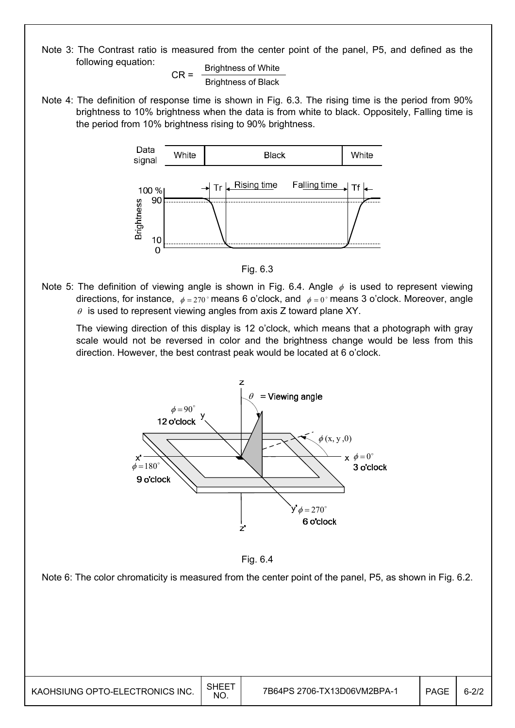Note 3: The Contrast ratio is measured from the center point of the panel, P5, and defined as the following equation:

 $CR =$  Brightness of White Brightness of Black

Note 4: The definition of response time is shown in Fig. 6.3. The rising time is the period from 90% brightness to 10% brightness when the data is from white to black. Oppositely, Falling time is the period from 10% brightness rising to 90% brightness.



Fig. 6.3

Note 5: The definition of viewing angle is shown in Fig. 6.4. Angle  $\phi$  is used to represent viewing directions, for instance,  $\phi = 270^\circ$  means 6 o'clock, and  $\phi = 0^\circ$  means 3 o'clock. Moreover, angle  $\theta$  is used to represent viewing angles from axis Z toward plane XY.

 The viewing direction of this display is 12 o'clock, which means that a photograph with gray scale would not be reversed in color and the brightness change would be less from this direction. However, the best contrast peak would be located at 6 o'clock.



Fig. 6.4

Note 6: The color chromaticity is measured from the center point of the panel, P5, as shown in Fig. 6.2.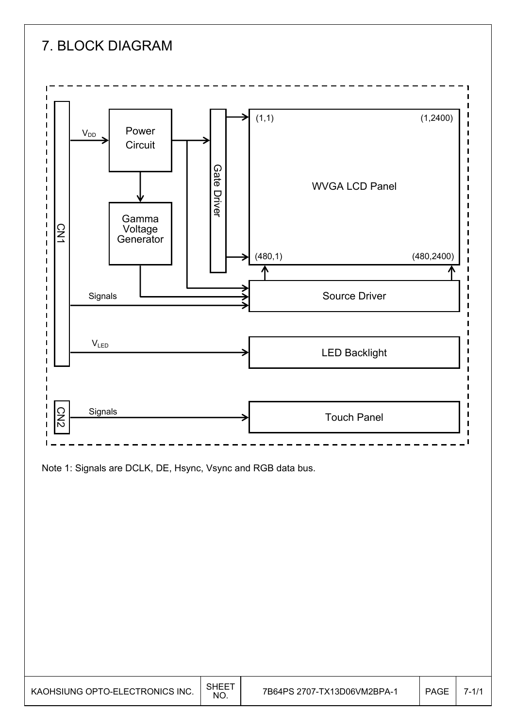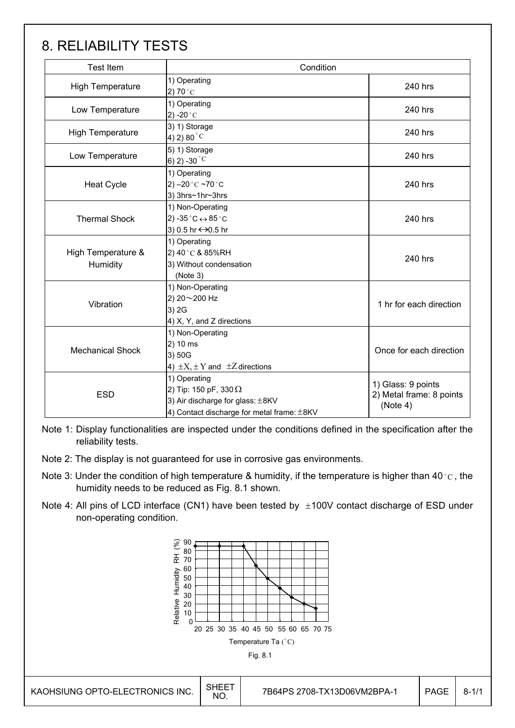## 8. RELIABILITY TESTS

| <b>Test Item</b>               | Condition                                                                                                                      |                                                            |
|--------------------------------|--------------------------------------------------------------------------------------------------------------------------------|------------------------------------------------------------|
| <b>High Temperature</b>        | 1) Operating<br>2) 70 $^{\circ}$ C                                                                                             | 240 hrs                                                    |
| Low Temperature                | 1) Operating<br>2) -20 $^{\circ}$ C                                                                                            | 240 hrs                                                    |
| <b>High Temperature</b>        | 3) 1) Storage<br>4) 2) 80 $^{\circ}$ C                                                                                         | 240 hrs                                                    |
| Low Temperature                | 5) 1) Storage<br>6) 2) -30 $^{\circ}$ C                                                                                        | 240 hrs                                                    |
| <b>Heat Cycle</b>              | 1) Operating<br>2) $-20$ °C $-70$ °C<br>3) 3hrs~1hr~3hrs                                                                       | 240 hrs                                                    |
| <b>Thermal Shock</b>           | 1) Non-Operating<br>2) -35 $^{\circ}$ C $\leftrightarrow$ 85 $^{\circ}$ C<br>3) 0.5 hr ↔ 0.5 hr                                | 240 hrs                                                    |
| High Temperature &<br>Humidity | 1) Operating<br>2) 40°C & 85%RH<br>3) Without condensation<br>(Note 3)                                                         | 240 hrs                                                    |
| Vibration                      | 1) Non-Operating<br>2) 20~200 Hz<br>3) 2G<br>4) X, Y, and Z directions                                                         | 1 hr for each direction                                    |
| <b>Mechanical Shock</b>        | 1) Non-Operating<br>2) 10 ms<br>3) 50G<br>4) $\pm X$ , $\pm Y$ and $\pm Z$ directions                                          |                                                            |
| <b>ESD</b>                     | 1) Operating<br>2) Tip: 150 pF, 330 $\Omega$<br>3) Air discharge for glass: ±8KV<br>4) Contact discharge for metal frame: ±8KV | 1) Glass: 9 points<br>2) Metal frame: 8 points<br>(Note 4) |

Note 1: Display functionalities are inspected under the conditions defined in the specification after the reliability tests.

- Note 2: The display is not guaranteed for use in corrosive gas environments.
- Note 3: Under the condition of high temperature & humidity, if the temperature is higher than 40 °C, the humidity needs to be reduced as Fig. 8.1 shown.
- Note 4: All pins of LCD interface (CN1) have been tested by  $\pm 100V$  contact discharge of ESD under non-operating condition.

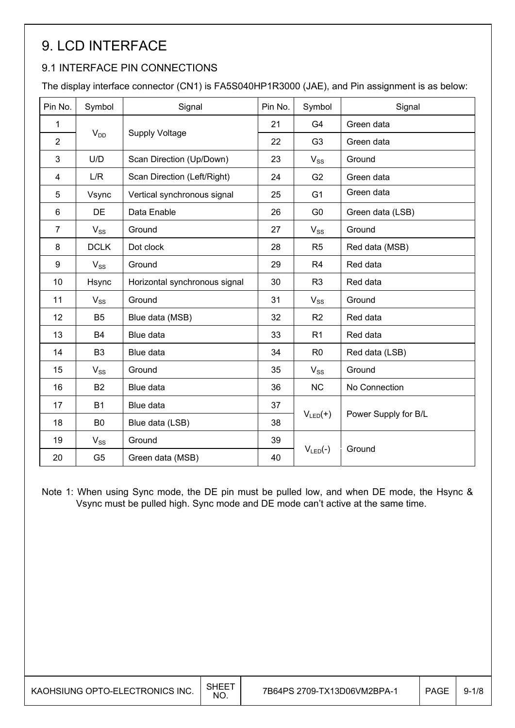# 9. LCD INTERFACE

### 9.1 INTERFACE PIN CONNECTIONS

The display interface connector (CN1) is FA5S040HP1R3000 (JAE), and Pin assignment is as below:

| Pin No.        | Symbol         | Signal                        | Pin No. | Symbol         | Signal               |  |
|----------------|----------------|-------------------------------|---------|----------------|----------------------|--|
| 1              |                |                               | 21      | G4             | Green data           |  |
| $\overline{2}$ | $V_{DD}$       | <b>Supply Voltage</b>         | 22      | G <sub>3</sub> | Green data           |  |
| 3              | U/D            | Scan Direction (Up/Down)      | 23      | $V_{SS}$       | Ground               |  |
| 4              | L/R            | Scan Direction (Left/Right)   | 24      | G <sub>2</sub> | Green data           |  |
| 5              | Vsync          | Vertical synchronous signal   | 25      | G <sub>1</sub> | Green data           |  |
| 6              | DE             | Data Enable                   | 26      | G <sub>0</sub> | Green data (LSB)     |  |
| $\overline{7}$ | $V_{SS}$       | Ground                        | 27      | $V_{SS}$       | Ground               |  |
| 8              | <b>DCLK</b>    | Dot clock                     | 28      | R <sub>5</sub> | Red data (MSB)       |  |
| 9              | $V_{SS}$       | Ground                        | 29      | R <sub>4</sub> | Red data             |  |
| 10             | Hsync          | Horizontal synchronous signal | 30      | R <sub>3</sub> | Red data             |  |
| 11             | $V_{SS}$       | Ground                        | 31      | $V_{SS}$       | Ground               |  |
| 12             | B <sub>5</sub> | Blue data (MSB)               | 32      | R <sub>2</sub> | Red data             |  |
| 13             | <b>B4</b>      | Blue data                     | 33      | R <sub>1</sub> | Red data             |  |
| 14             | B <sub>3</sub> | Blue data                     | 34      | R <sub>0</sub> | Red data (LSB)       |  |
| 15             | $V_{SS}$       | Ground                        | 35      | $V_{SS}$       | Ground               |  |
| 16             | B <sub>2</sub> | Blue data                     | 36      | <b>NC</b>      | No Connection        |  |
| 17             | <b>B1</b>      | Blue data                     | 37      |                |                      |  |
| 18             | B <sub>0</sub> | Blue data (LSB)               | 38      | $V_{LED}(+)$   | Power Supply for B/L |  |
| 19             | $V_{SS}$       | Ground                        | 39      |                |                      |  |
| 20             | G <sub>5</sub> | Green data (MSB)              | 40      | $V_{LED}(-)$   | Ground               |  |

Note 1: When using Sync mode, the DE pin must be pulled low, and when DE mode, the Hsync & Vsync must be pulled high. Sync mode and DE mode can't active at the same time.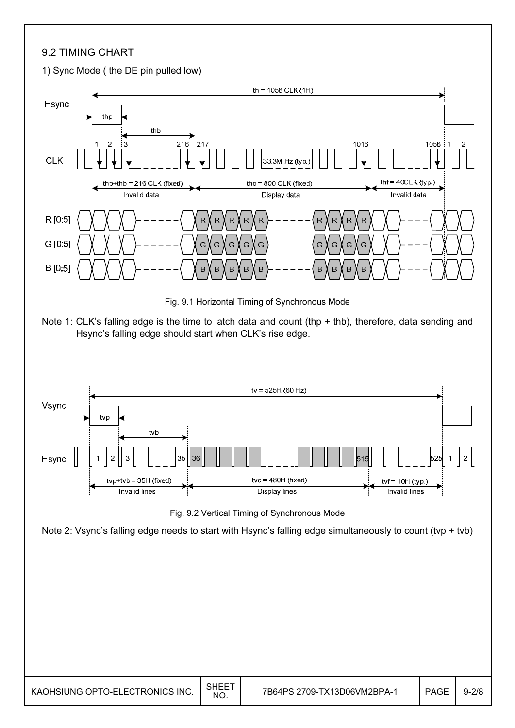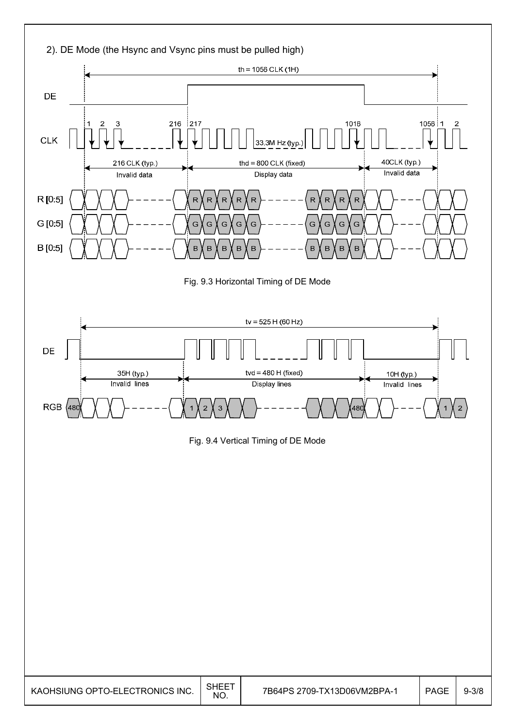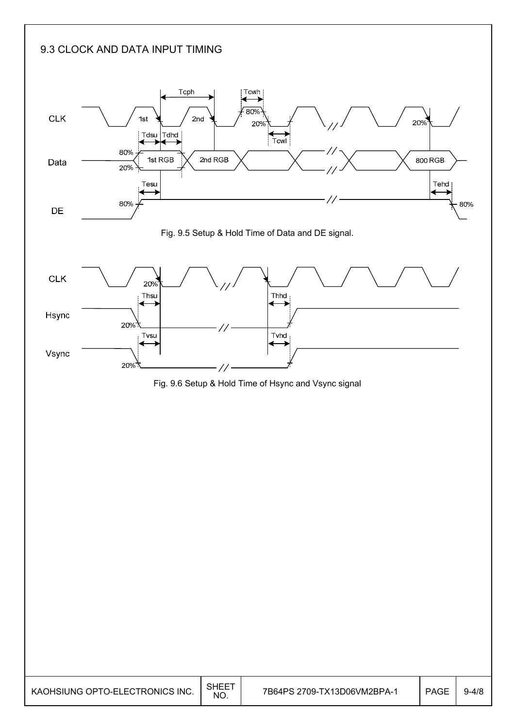### 9.3 CLOCK AND DATA INPUT TIMING

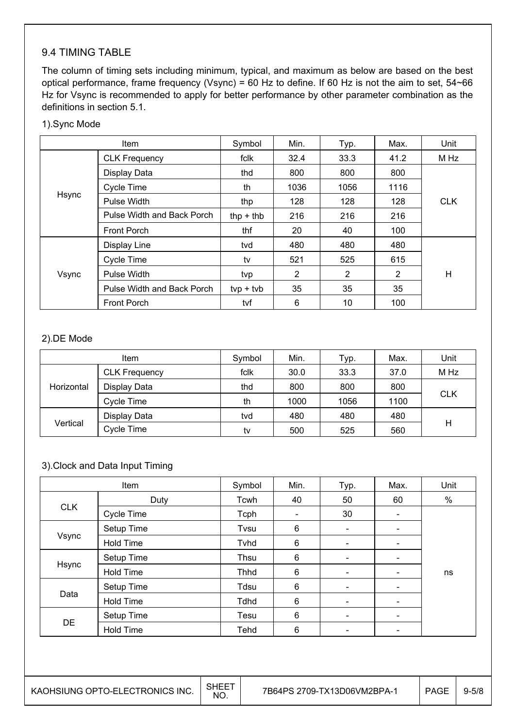### 9.4 TIMING TABLE

The column of timing sets including minimum, typical, and maximum as below are based on the best optical performance, frame frequency (Vsync) = 60 Hz to define. If 60 Hz is not the aim to set, 54~66 Hz for Vsync is recommended to apply for better performance by other parameter combination as the definitions in section 5.1.

#### 1).Sync Mode

| <b>Item</b> |                            | Symbol      | Min. | Typ. | Max. | Unit       |
|-------------|----------------------------|-------------|------|------|------|------------|
|             | <b>CLK Frequency</b>       | fclk        | 32.4 | 33.3 | 41.2 | M Hz       |
|             | Display Data               | thd         | 800  | 800  | 800  |            |
|             | Cycle Time                 | th          | 1036 | 1056 | 1116 |            |
| Hsync       | Pulse Width                | thp         | 128  | 128  | 128  | <b>CLK</b> |
|             | Pulse Width and Back Porch | thp $+$ thb | 216  | 216  | 216  |            |
|             | <b>Front Porch</b>         | thf         | 20   | 40   | 100  |            |
|             | Display Line               | tvd         | 480  | 480  | 480  |            |
|             | <b>Cycle Time</b>          | tv          | 521  | 525  | 615  |            |
| Vsync       | Pulse Width                | tvp         | 2    | 2    | 2    | H          |
|             | Pulse Width and Back Porch | $typ + tvb$ | 35   | 35   | 35   |            |
|             | <b>Front Porch</b>         | tvf         | 6    | 10   | 100  |            |

#### 2).DE Mode

|            | Item                 | Symbol | Min. | Typ. | Max. | Unit       |
|------------|----------------------|--------|------|------|------|------------|
| Horizontal | <b>CLK Frequency</b> | fclk   | 30.0 | 33.3 | 37.0 | M Hz       |
|            | Display Data         | thd    | 800  | 800  | 800  | <b>CLK</b> |
|            | Cycle Time           | th     | 1000 | 1056 | 1100 |            |
| Vertical   | Display Data         | tvd    | 480  | 480  | 480  |            |
|            | Cycle Time           | tv     | 500  | 525  | 560  | Н          |

#### 3).Clock and Data Input Timing

| Item       |                  | Symbol      | Min. | Typ.                     | Max.                     | Unit |
|------------|------------------|-------------|------|--------------------------|--------------------------|------|
|            | Duty             | Tcwh        | 40   | 50                       | 60                       | %    |
| <b>CLK</b> | Cycle Time       | Tcph        |      | 30                       |                          |      |
|            | Setup Time       | Tvsu        | 6    | $\overline{\phantom{a}}$ |                          |      |
| Vsync      | Hold Time        | Tvhd        | 6    | $\overline{\phantom{a}}$ | $\overline{\phantom{a}}$ |      |
|            | Setup Time       | Thsu        | 6    | $\overline{\phantom{a}}$ | $\overline{\phantom{0}}$ |      |
| Hsync      | <b>Hold Time</b> | Thhd        | 6    | ۰                        |                          | ns   |
|            | Setup Time       | Tdsu        | 6    | $\overline{\phantom{a}}$ | $\overline{\phantom{a}}$ |      |
| Data       | <b>Hold Time</b> | <b>Tdhd</b> | 6    | $\overline{\phantom{a}}$ | $\overline{\phantom{0}}$ |      |
| <b>DE</b>  | Setup Time       | Tesu        | 6    | $\blacksquare$           | $\overline{\phantom{a}}$ |      |
|            | <b>Hold Time</b> | Tehd        | 6    |                          |                          |      |

 $\overline{\phantom{a}}$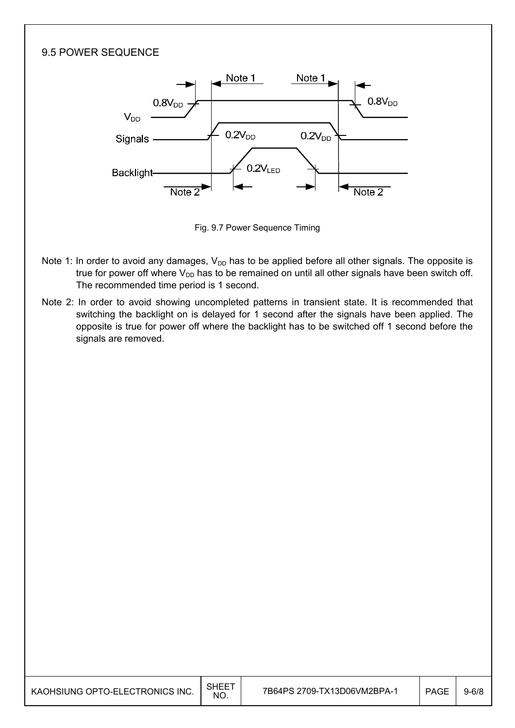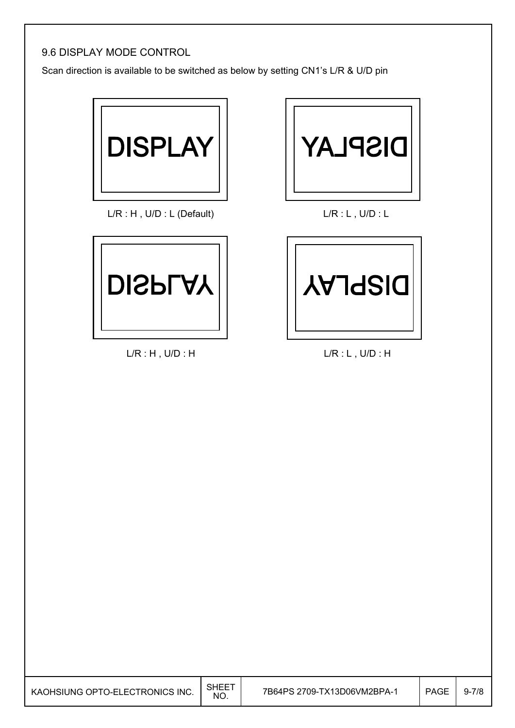### 9.6 DISPLAY MODE CONTROL

Scan direction is available to be switched as below by setting CN1's L/R & U/D pin



L/R : H, U/D : L (Default) L/R : L, U/D : L



L/R : H , U/D : H L/R : L , U/D : H



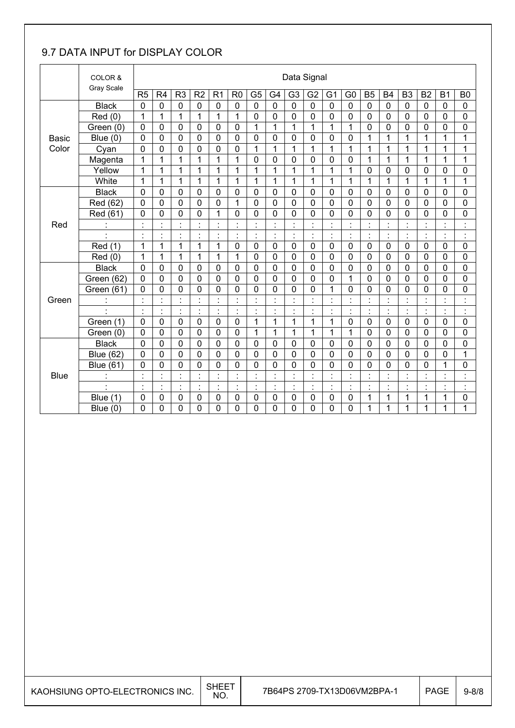### 9.7 DATA INPUT for DISPLAY COLOR

|              | COLOR &          |                |                                              |                                |                          |                                  |                      |                      |                                | Data Signal                            |                      |                      |                                        |                                 |                          |                |                                 |                          |                                        |
|--------------|------------------|----------------|----------------------------------------------|--------------------------------|--------------------------|----------------------------------|----------------------|----------------------|--------------------------------|----------------------------------------|----------------------|----------------------|----------------------------------------|---------------------------------|--------------------------|----------------|---------------------------------|--------------------------|----------------------------------------|
|              | Gray Scale       | R <sub>5</sub> | R <sub>4</sub>                               | R <sub>3</sub>                 | R <sub>2</sub>           | R <sub>1</sub>                   | R <sub>0</sub>       | G <sub>5</sub>       | G4                             | G <sub>3</sub>                         | G <sub>2</sub>       | G <sub>1</sub>       | G <sub>0</sub>                         | <b>B5</b>                       | <b>B4</b>                | B <sub>3</sub> | <b>B2</b>                       | <b>B1</b>                | B <sub>0</sub>                         |
|              | <b>Black</b>     | $\mathbf 0$    | 0                                            | 0                              | $\mathbf 0$              | 0                                | $\mathbf 0$          | $\mathbf 0$          | $\mathbf 0$                    | $\mathbf 0$                            | $\mathbf 0$          | $\mathbf 0$          | 0                                      | $\mathbf 0$                     | $\mathbf 0$              | $\mathbf 0$    | 0                               | $\mathbf 0$              | $\mathbf 0$                            |
|              | Red (0)          | 1              | 1                                            | 1                              | 1                        | 1                                | 1                    | $\mathbf 0$          | $\mathbf 0$                    | 0                                      | 0                    | 0                    | 0                                      | 0                               | $\mathbf 0$              | $\mathbf 0$    | 0                               | 0                        | 0                                      |
|              | Green (0)        | $\mathbf 0$    | 0                                            | 0                              | 0                        | 0                                | $\mathbf 0$          | 1                    | $\mathbf{1}$                   | 1                                      | 1                    | 1                    | 1                                      | $\mathbf 0$                     | $\mathbf 0$              | $\mathbf 0$    | 0                               | 0                        | 0                                      |
| <b>Basic</b> | Blue (0)         | 0              | 0                                            | 0                              | 0                        | $\mathbf 0$                      | $\mathbf 0$          | $\mathbf 0$          | $\mathbf 0$                    | 0                                      | $\mathbf{0}$         | 0                    | 0                                      | 1                               | 1                        | $\mathbf{1}$   | 1                               | 1                        | 1                                      |
| Color        | Cyan             | $\overline{0}$ | 0                                            | $\mathbf 0$                    | 0                        | 0                                | $\mathbf 0$          | $\overline{1}$       | $\mathbf{1}$                   | 1                                      | 1                    | 1                    | 1                                      | 1                               | 1                        | $\mathbf{1}$   | 1                               | 1                        | 1                                      |
|              | Magenta          | 1              | 1                                            | 1                              | 1                        | 1                                | 1                    | $\mathbf 0$          | $\mathbf 0$                    | 0                                      | $\mathbf 0$          | 0                    | 0                                      | 1                               | 1                        | 1              | 1                               | 1                        | 1                                      |
|              | Yellow           | 1              | $\mathbf{1}$                                 | $\mathbf{1}$                   | 1                        | $\mathbf{1}$                     | 1                    | 1                    | $\overline{1}$                 | $\mathbf{1}$                           | $\overline{1}$       | 1                    | $\mathbf{1}$                           | 0                               | $\overline{0}$           | $\mathbf 0$    | 0                               | 0                        | $\mathbf 0$                            |
|              | White            | 1              | 1                                            | 1                              | 1                        | 1                                | 1                    | 1                    | 1                              | 1                                      | 1                    | 1                    | 1                                      | 1                               | 1                        | 1              | 1                               | 1                        | 1                                      |
|              | <b>Black</b>     | $\overline{0}$ | 0                                            | 0                              | 0                        | 0                                | $\mathbf 0$          | $\mathbf 0$          | $\mathbf 0$                    | 0                                      | 0                    | 0                    | $\overline{0}$                         | 0                               | $\overline{0}$           | $\overline{0}$ | 0                               | 0                        | 0                                      |
|              | Red (62)         | $\mathbf 0$    | 0                                            | 0                              | 0                        | 0                                | 1                    | $\overline{0}$       | $\mathbf 0$                    | 0                                      | $\mathbf 0$          | 0                    | $\overline{0}$                         | 0                               | $\overline{0}$           | $\mathbf 0$    | 0                               | 0                        | 0                                      |
|              | Red (61)         | $\mathbf 0$    | 0                                            | $\mathbf 0$                    | 0                        | 1                                | $\mathbf 0$          | $\mathbf 0$          | $\mathbf 0$                    | 0                                      | 0                    | 0                    | 0                                      | 0                               | $\overline{0}$           | $\mathbf 0$    | 0                               | $\overline{0}$           | 0                                      |
| Red          |                  | $\blacksquare$ | $\ddot{\phantom{0}}$<br>$\ddot{\phantom{a}}$ | $\blacksquare$                 | $\cdot$                  | $\cdot$<br>÷.                    |                      | $\blacksquare$       | $\cdot$                        |                                        |                      |                      | $\blacksquare$<br>$\ddot{\phantom{a}}$ | $\cdot$                         |                          | $\cdot$        |                                 | $\overline{\phantom{a}}$ | t                                      |
|              |                  | $\cdot$        | $\ddot{\phantom{0}}$                         | $\blacksquare$<br>٠            | l,                       | $\cdot$<br>$\lambda$             | $\ddot{\phantom{0}}$ | $\blacksquare$       | $\blacksquare$                 | $\cdot$                                |                      | $\cdot$              | $\blacksquare$<br>$\blacksquare$       | $\cdot$                         |                          | $\blacksquare$ | $\blacksquare$                  | $\blacksquare$           | $\blacksquare$<br>$\blacksquare$       |
|              | Red (1)          | $\mathbf{1}$   | 1                                            | $\mathbf{1}$                   | 1                        | 1                                | $\mathbf 0$          | $\mathbf 0$          | $\mathbf 0$                    | 0                                      | $\mathbf 0$          | $\mathbf 0$          | 0                                      | $\mathbf 0$                     | $\mathbf 0$              | $\mathbf 0$    | $\mathbf 0$                     | 0                        | 0                                      |
|              | Red (0)          | $\mathbf{1}$   | $\mathbf{1}$                                 | $\mathbf{1}$                   | 1                        | $\mathbf{1}$                     | 1                    | $\overline{0}$       | $\overline{0}$                 | 0                                      | $\mathbf 0$          | 0                    | $\mathbf 0$                            | $\mathbf 0$                     | $\mathbf 0$              | $\mathbf 0$    | 0                               | 0                        | 0                                      |
|              | <b>Black</b>     | $\mathbf 0$    | 0                                            | 0                              | 0                        | 0                                | 0                    | $\mathbf 0$          | $\mathbf 0$                    | 0                                      | $\mathbf 0$          | 0                    | 0                                      | 0                               | 0                        | $\mathbf 0$    | 0                               | 0                        | 0                                      |
|              | Green (62)       | $\mathbf 0$    | 0                                            | 0                              | 0                        | $\overline{0}$                   | $\mathbf 0$          | $\mathbf 0$          | $\mathbf 0$                    | 0                                      | $\mathbf 0$          | 0                    | 1                                      | 0                               | 0                        | $\overline{0}$ | 0                               | 0                        | $\mathbf 0$                            |
|              | Green (61)       | $\mathbf 0$    | 0                                            | 0                              | 0                        | 0                                | 0                    | 0                    | $\mathbf 0$                    | 0                                      | 0                    | 1                    | 0                                      | 0                               | 0                        | 0              | 0                               | 0                        | 0                                      |
| Green        |                  | $\cdot$        | $\cdot$<br>÷.                                | $\blacksquare$<br>$\mathbf{r}$ | $\cdot$<br>×,            | $\ddot{\cdot}$                   |                      | $\ddot{\phantom{a}}$ | $\cdot$<br>$\mathbf{r}$        | $\blacksquare$<br>$\ddot{\phantom{0}}$ | $\blacksquare$<br>ä, | $\cdot$<br>×.        | $\cdot$<br>$\cdot$                     | $\cdot$<br>$\ddot{\phantom{a}}$ |                          | $\cdot$        | $\blacksquare$                  | $\blacksquare$<br>ä.     | $\ddot{\phantom{a}}$                   |
|              | $\blacksquare$   | $\blacksquare$ | $\blacksquare$                               | $\blacksquare$                 | $\blacksquare$           | $\cdot$                          | $\blacksquare$       | $\blacksquare$       | $\blacksquare$                 | $\cdot$                                | $\blacksquare$       | $\cdot$              | $\blacksquare$                         | $\blacksquare$                  | $\blacksquare$           | $\blacksquare$ | $\blacksquare$                  | $\blacksquare$           | $\blacksquare$<br>$\ddot{\phantom{a}}$ |
|              | Green (1)        | $\mathbf 0$    | 0                                            | 0                              | $\mathbf 0$              | $\mathbf 0$                      | $\mathbf 0$          | $\mathbf 1$          | 1                              | 1                                      | 1                    | 1                    | 0                                      | 0                               | $\mathbf 0$              | $\mathbf 0$    | 0                               | $\mathbf 0$              | 0                                      |
|              | Green (0)        | $\Omega$       | 0                                            | 0                              | 0                        | 0                                | $\mathbf 0$          | 1                    | 1                              | 1                                      | 1                    | 1                    | 1                                      | 0                               | $\mathbf 0$              | $\mathbf 0$    | 0                               | 0                        | 0                                      |
|              | <b>Black</b>     | $\mathbf 0$    | 0                                            | 0                              | 0                        | 0                                | 0                    | $\mathbf 0$          | $\mathbf 0$                    | 0                                      | $\mathbf 0$          | 0                    | 0                                      | 0                               | 0                        | $\mathbf 0$    | 0                               | 0                        | 0                                      |
|              | <b>Blue (62)</b> | $\overline{0}$ | 0                                            | $\overline{0}$                 | 0                        | $\overline{0}$                   | $\mathbf 0$          | $\mathbf 0$          | $\overline{0}$                 | 0                                      | $\overline{0}$       | 0                    | $\overline{0}$                         | 0                               | $\overline{0}$           | $\overline{0}$ | 0                               | $\overline{0}$           | 1                                      |
|              | <b>Blue (61)</b> | $\mathbf 0$    | 0                                            | 0                              | 0                        | 0                                | $\mathbf 0$          | 0                    | $\mathbf 0$                    | 0                                      | 0                    | 0                    | 0                                      | 0                               | 0                        | $\overline{0}$ | 0                               | $\mathbf{1}$             | 0                                      |
| <b>Blue</b>  |                  | $\blacksquare$ | $\ddot{\phantom{0}}$                         | $\blacksquare$                 | $\overline{\phantom{a}}$ | $\overline{\phantom{a}}$         | $\cdot$              | $\blacksquare$       | $\cdot$                        | $\ddot{\phantom{0}}$                   | $\blacksquare$       | $\ddot{\phantom{0}}$ | $\blacksquare$                         | $\cdot$                         | $\overline{\phantom{a}}$ | $\blacksquare$ | $\ddot{\phantom{0}}$            | $\overline{\phantom{a}}$ | $\blacksquare$<br>$\ddot{\phantom{a}}$ |
|              | $\blacksquare$   | $\blacksquare$ | $\blacksquare$                               | $\blacksquare$<br>÷.           | $\blacksquare$           | $\blacksquare$<br>$\blacksquare$ | $\blacksquare$       | $\blacksquare$       | $\blacksquare$<br>$\mathbf{r}$ | $\cdot$                                | $\blacksquare$       |                      | $\blacksquare$<br>$\blacksquare$       | $\cdot$<br>$\cdot$              |                          | $\blacksquare$ | $\ddot{\phantom{0}}$<br>$\cdot$ | $\blacksquare$           | Ì                                      |
|              | Blue (1)         | $\mathbf 0$    | 0                                            | 0                              | $\mathbf 0$              | 0                                | 0                    | $\mathbf 0$          | $\mathbf 0$                    | 0                                      | 0                    | 0                    | 0                                      | 1                               | 1                        | 1              | 1                               | 1                        | 0                                      |
|              | Blue $(0)$       | 0              | 0                                            | $\mathbf 0$                    | 0                        | 0                                | 0                    | 0                    | 0                              | 0                                      | 0                    | 0                    | 0                                      | 1                               | 1                        | 1              | 1                               | 1                        | 1                                      |

 $\overline{\phantom{a}}$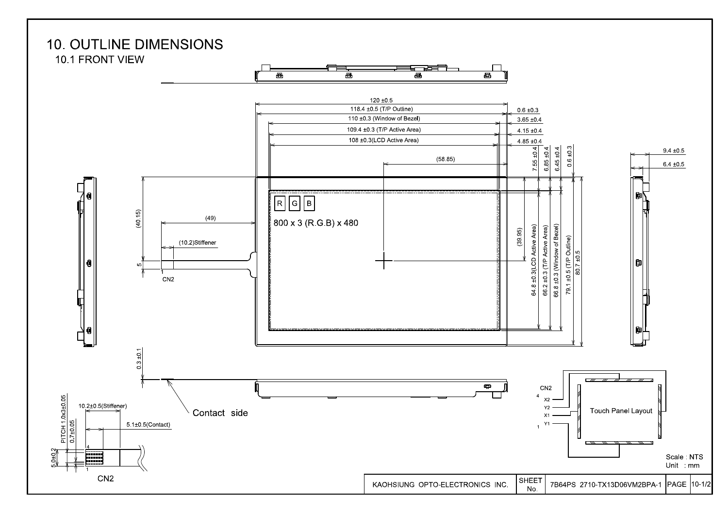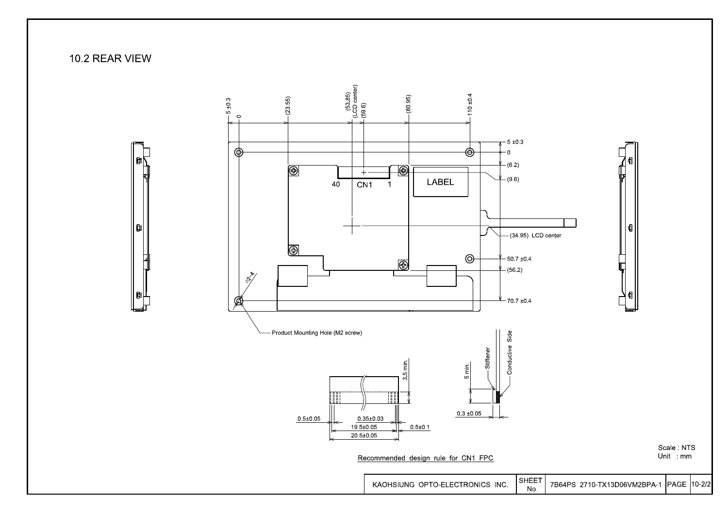10.2 REAR VIEW

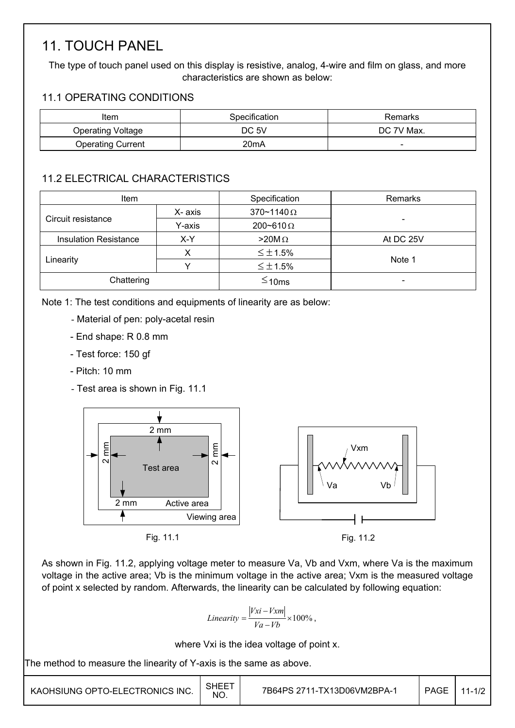## 11. TOUCH PANEL

The type of touch panel used on this display is resistive, analog, 4-wire and film on glass, and more characteristics are shown as below:

### 11.1 OPERATING CONDITIONS

| Item                     | Specification | Remarks    |
|--------------------------|---------------|------------|
| <b>Operating Voltage</b> | DC 5V         | DC 7V Max. |
| <b>Operating Current</b> | 20mA          | -          |

### 11.2 ELECTRICAL CHARACTERISTICS

| <b>Item</b>                         |        | Specification       | <b>Remarks</b> |
|-------------------------------------|--------|---------------------|----------------|
|                                     | X-axis | $370 - 1140 \Omega$ |                |
| Circuit resistance                  | Y-axis | 200~610 $\Omega$    |                |
| <b>Insulation Resistance</b><br>X-Y |        | $>20M\Omega$        | At DC 25V      |
|                                     |        | $\leq \pm 1.5\%$    |                |
| Linearity                           |        | $\leq \pm 1.5\%$    | Note 1         |
| Chattering                          |        | $\leq$ 10ms         |                |

Note 1: The test conditions and equipments of linearity are as below:

- Material of pen: poly-acetal resin
- End shape: R 0.8 mm
- Test force: 150 gf
- Pitch: 10 mm
- Test area is shown in Fig. 11.1



As shown in Fig. 11.2, applying voltage meter to measure Va, Vb and Vxm, where Va is the maximum voltage in the active area; Vb is the minimum voltage in the active area; Vxm is the measured voltage of point x selected by random. Afterwards, the linearity can be calculated by following equation:

$$
Linearity = \frac{|Vxi - Vxm|}{Va - Vb} \times 100\%,
$$

where Vxi is the idea voltage of point x.

The method to measure the linearity of Y-axis is the same as above.

| KAOHSIUNG OPTO-ELECTRONICS INC. | SHEET<br>NO. | 7B64PS 2711-TX13D06VM2BPA-1 | <b>PAGE</b> | 11-1/2 |
|---------------------------------|--------------|-----------------------------|-------------|--------|
|---------------------------------|--------------|-----------------------------|-------------|--------|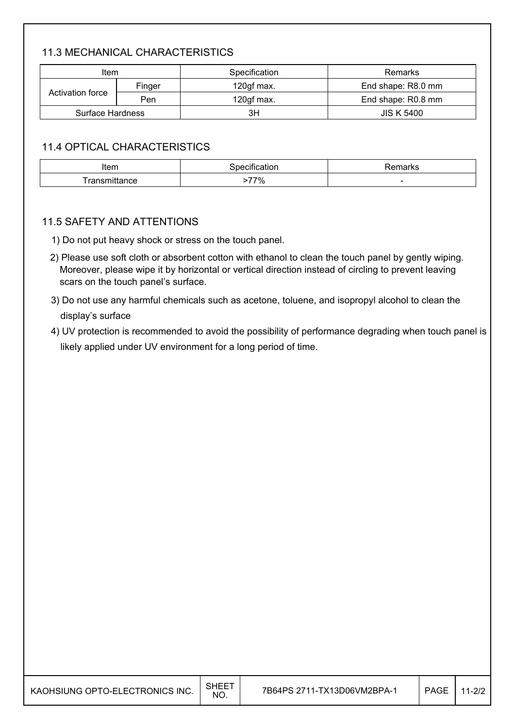### 11.3 MECHANICAL CHARACTERISTICS

| Item             |     | Specification | Remarks            |  |
|------------------|-----|---------------|--------------------|--|
| Finger           |     | 120gf max.    | End shape: R8.0 mm |  |
| Activation force | Pen | 120gf max.    | End shape: R0.8 mm |  |
| Surface Hardness |     | ЗH            | <b>JIS K 5400</b>  |  |

#### 11.4 OPTICAL CHARACTERISTICS

| Item         |            | - - -  |
|--------------|------------|--------|
| :atior       |            | l Na   |
| - - -<br>165 | 770/<br>70 | $\sim$ |

#### 11.5 SAFETY AND ATTENTIONS

- 1) Do not put heavy shock or stress on the touch panel.
- 2) Please use soft cloth or absorbent cotton with ethanol to clean the touch panel by gently wiping. Moreover, please wipe it by horizontal or vertical direction instead of circling to prevent leaving scars on the touch panel's surface.
- 3) Do not use any harmful chemicals such as acetone, toluene, and isopropyl alcohol to clean the display's surface
- 4) UV protection is recommended to avoid the possibility of performance degrading when touch panel is likely applied under UV environment for a long period of time.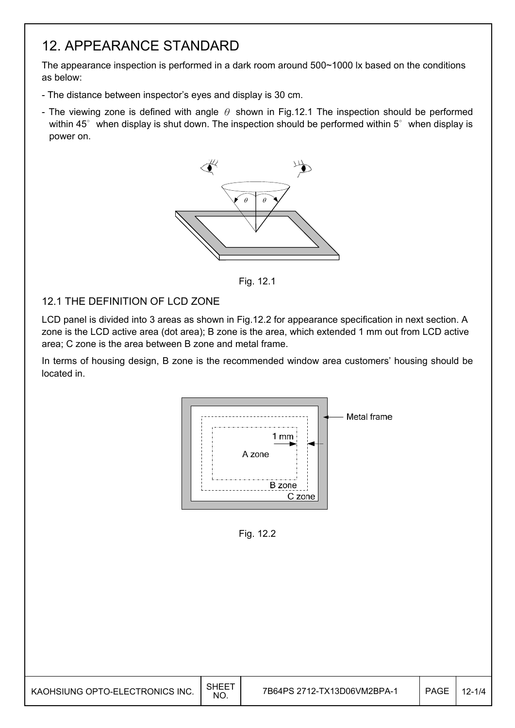## 12. APPEARANCE STANDARD

The appearance inspection is performed in a dark room around 500~1000 lx based on the conditions as below:

- The distance between inspector's eyes and display is 30 cm.
- The viewing zone is defined with angle  $\theta$  shown in Fig.12.1 The inspection should be performed within 45 $^{\circ}$  when display is shut down. The inspection should be performed within 5 $^{\circ}$  when display is power on.



Fig. 12.1

### 12.1 THE DEFINITION OF LCD ZONE

I

LCD panel is divided into 3 areas as shown in Fig.12.2 for appearance specification in next section. A zone is the LCD active area (dot area); B zone is the area, which extended 1 mm out from LCD active area; C zone is the area between B zone and metal frame.

In terms of housing design, B zone is the recommended window area customers' housing should be located in.



Fig. 12.2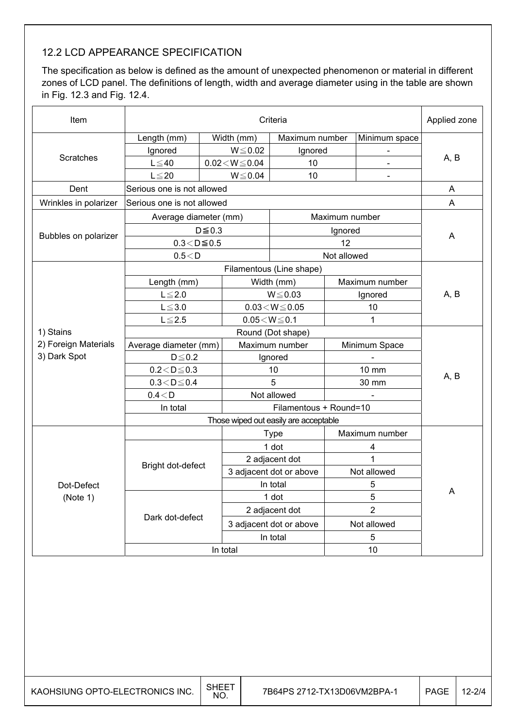### 12.2 LCD APPEARANCE SPECIFICATION

The specification as below is defined as the amount of unexpected phenomenon or material in different zones of LCD panel. The definitions of length, width and average diameter using in the table are shown in Fig. 12.3 and Fig. 12.4.

| Item                  | Criteria                   |             |                                |                          |                         |                | Applied zone |  |
|-----------------------|----------------------------|-------------|--------------------------------|--------------------------|-------------------------|----------------|--------------|--|
|                       | Length (mm)                |             | Width (mm)                     | Maximum number           |                         | Minimum space  |              |  |
|                       | Ignored                    |             | $W \le 0.02$<br>Ignored        |                          |                         |                | A, B         |  |
| <b>Scratches</b>      | $L \leq 40$                |             | $0.02\!<\!W\!\leq\!0.04$<br>10 |                          |                         |                |              |  |
|                       | $L \leq 20$                |             | $W \le 0.04$                   | 10                       |                         |                |              |  |
| Dent                  | Serious one is not allowed |             |                                |                          |                         |                | A            |  |
| Wrinkles in polarizer | Serious one is not allowed |             |                                |                          |                         |                | A            |  |
|                       | Average diameter (mm)      |             |                                |                          | Maximum number          |                |              |  |
|                       |                            | $D \le 0.3$ |                                |                          | Ignored                 |                |              |  |
| Bubbles on polarizer  | $0.3 < D \le 0.5$          |             |                                |                          | 12                      |                | A            |  |
|                       | 0.5 < D                    |             |                                |                          | Not allowed             |                |              |  |
|                       |                            |             |                                | Filamentous (Line shape) |                         |                |              |  |
|                       | Length (mm)                |             | Width (mm)                     |                          |                         | Maximum number |              |  |
|                       | $L \leq 2.0$               |             |                                | $W \le 0.03$             | Ignored                 |                | A, B         |  |
|                       | $L \le 3.0$                |             | $0.03\!<\!W\!\leq\!0.05$       |                          |                         | 10             |              |  |
|                       | $L \leq 2.5$               |             | $0.05\!<\!W\!\leq\!0.1$<br>1   |                          |                         |                |              |  |
| 1) Stains             |                            |             |                                | Round (Dot shape)        |                         |                |              |  |
| 2) Foreign Materials  | Average diameter (mm)      |             | Maximum number                 |                          |                         | Minimum Space  |              |  |
| 3) Dark Spot          | $D \leq 0.2$               |             | Ignored                        |                          |                         |                |              |  |
|                       | $0.2\!<\!D\!\leq\!0.3$     |             | 10                             |                          | 10 mm                   |                | A, B         |  |
|                       | $0.3 < D \le 0.4$          |             | 5                              |                          | 30 mm                   |                |              |  |
|                       | 0.4 < D                    |             | Not allowed                    |                          |                         |                |              |  |
|                       | In total                   |             |                                | Filamentous + Round=10   |                         |                |              |  |
|                       |                            |             |                                |                          |                         |                |              |  |
|                       |                            | <b>Type</b> |                                |                          |                         | Maximum number |              |  |
|                       |                            |             |                                | 1 dot                    | 4                       |                |              |  |
|                       | Bright dot-defect          |             |                                | 2 adjacent dot           | 1                       |                |              |  |
|                       |                            |             |                                | 3 adjacent dot or above  |                         | Not allowed    |              |  |
| Dot-Defect            |                            |             |                                | In total                 | 5                       |                | A            |  |
| (Note 1)              |                            |             |                                | 1 dot                    |                         | 5              |              |  |
|                       | Dark dot-defect            |             |                                | 2 adjacent dot           | $\overline{2}$          |                |              |  |
|                       |                            |             |                                |                          | 3 adjacent dot or above |                | Not allowed  |  |
|                       |                            |             | In total                       |                          | 5                       |                |              |  |
|                       |                            |             | In total                       |                          |                         | 10             |              |  |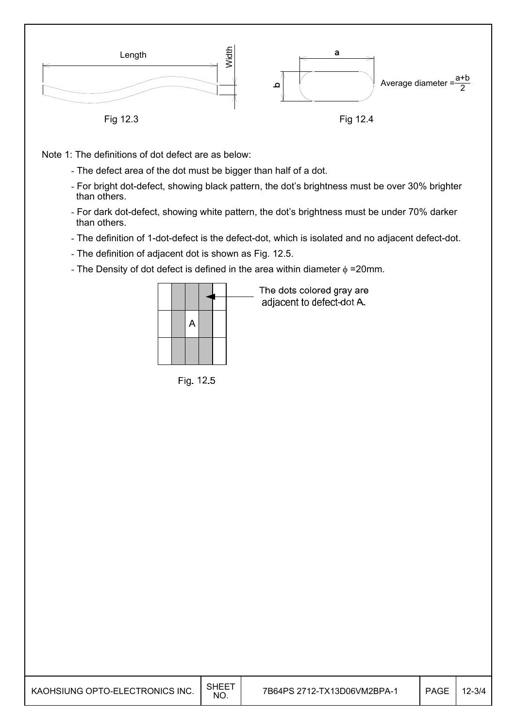

Note 1: The definitions of dot defect are as below:

- The defect area of the dot must be bigger than half of a dot.
- For bright dot-defect, showing black pattern, the dot's brightness must be over 30% brighter than others.
- For dark dot-defect, showing white pattern, the dot's brightness must be under 70% darker than others.
- The definition of 1-dot-defect is the defect-dot, which is isolated and no adjacent defect-dot.
- The definition of adjacent dot is shown as Fig. 12.5.
- The Density of dot defect is defined in the area within diameter  $\phi$  =20mm.



Fig. 12.5

The dots colored gray are adjacent to defect-dot A.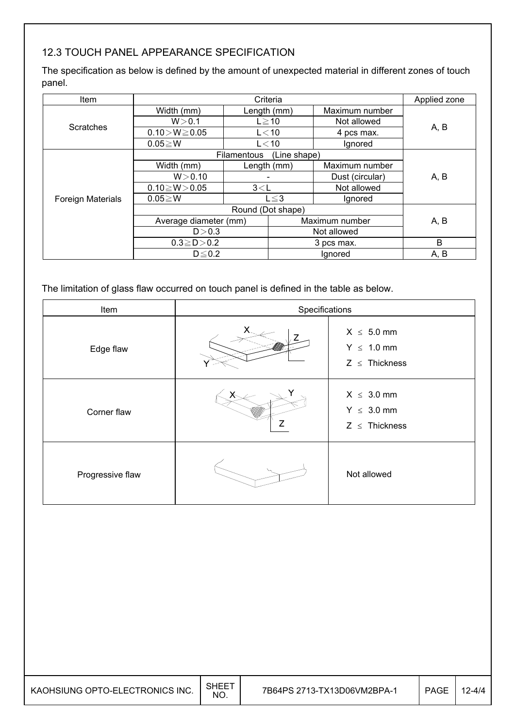### 12.3 TOUCH PANEL APPEARANCE SPECIFICATION

The specification as below is defined by the amount of unexpected material in different zones of touch panel.

| ltem                     |                       | Applied zone |                |                 |      |  |
|--------------------------|-----------------------|--------------|----------------|-----------------|------|--|
|                          | Width (mm)            | Length (mm)  |                | Maximum number  |      |  |
| <b>Scratches</b>         | W > 0.1               | $L \ge 10$   |                | Not allowed     |      |  |
|                          | $0.10 > W \ge 0.05$   |              | $L<$ 10        | 4 pcs max.      | A, B |  |
|                          | $0.05 \geq W$         | $L<$ 10      |                | Ignored         |      |  |
|                          |                       | Filamentous  | (Line shape)   |                 |      |  |
|                          | Width (mm)            | Length (mm)  |                | Maximum number  |      |  |
|                          | W > 0.10              |              |                | Dust (circular) | A, B |  |
|                          | $0.10 \ge W > 0.05$   | 3< L         |                | Not allowed     |      |  |
| <b>Foreign Materials</b> | $0.05 \geq W$         |              | $L \leq 3$     | Ignored         |      |  |
|                          |                       |              |                |                 |      |  |
|                          | Average diameter (mm) |              | Maximum number | A, B            |      |  |
|                          | D > 0.3               |              |                | Not allowed     |      |  |
|                          | $0.3 \ge D > 0.2$     |              |                | 3 pcs max.      | B    |  |
|                          | $D \leq 0.2$          |              |                | Ignored         | A, B |  |

The limitation of glass flaw occurred on touch panel is defined in the table as below.

| Item             | Specifications |                                                          |  |  |  |
|------------------|----------------|----------------------------------------------------------|--|--|--|
| Edge flaw        |                | $X \leq 5.0$ mm<br>$Y \leq 1.0$ mm<br>$Z \leq$ Thickness |  |  |  |
| Corner flaw      |                | $X \leq 3.0$ mm<br>$Y \leq 3.0$ mm<br>$Z \leq$ Thickness |  |  |  |
| Progressive flaw |                | Not allowed                                              |  |  |  |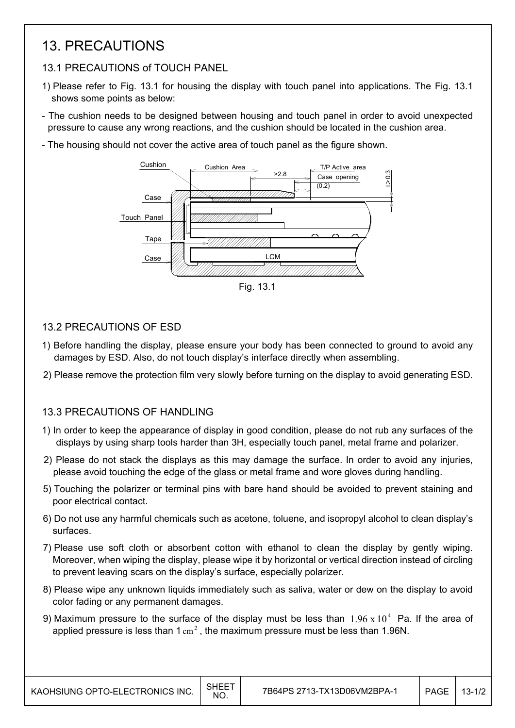### 13. PRECAUTIONS

### 13.1 PRECAUTIONS of TOUCH PANEL

- 1) Please refer to Fig. 13.1 for housing the display with touch panel into applications. The Fig. 13.1 shows some points as below:
- The cushion needs to be designed between housing and touch panel in order to avoid unexpected pressure to cause any wrong reactions, and the cushion should be located in the cushion area.
- The housing should not cover the active area of touch panel as the figure shown.



Fig. 13.1

### 13.2 PRECAUTIONS OF ESD

- 1) Before handling the display, please ensure your body has been connected to ground to avoid any damages by ESD. Also, do not touch display's interface directly when assembling.
- 2) Please remove the protection film very slowly before turning on the display to avoid generating ESD.

### 13.3 PRECAUTIONS OF HANDLING

- 1) In order to keep the appearance of display in good condition, please do not rub any surfaces of the displays by using sharp tools harder than 3H, especially touch panel, metal frame and polarizer.
- 2) Please do not stack the displays as this may damage the surface. In order to avoid any injuries, please avoid touching the edge of the glass or metal frame and wore gloves during handling.
- 5) Touching the polarizer or terminal pins with bare hand should be avoided to prevent staining and poor electrical contact.
- 6) Do not use any harmful chemicals such as acetone, toluene, and isopropyl alcohol to clean display's surfaces.
- 7) Please use soft cloth or absorbent cotton with ethanol to clean the display by gently wiping. Moreover, when wiping the display, please wipe it by horizontal or vertical direction instead of circling to prevent leaving scars on the display's surface, especially polarizer.
- 8) Please wipe any unknown liquids immediately such as saliva, water or dew on the display to avoid color fading or any permanent damages.
- 9) Maximum pressure to the surface of the display must be less than  $1.96 \times 10^4$  Pa. If the area of applied pressure is less than  $1 \text{ cm}^2$ , the maximum pressure must be less than 1.96N.

 $\mathsf{I}$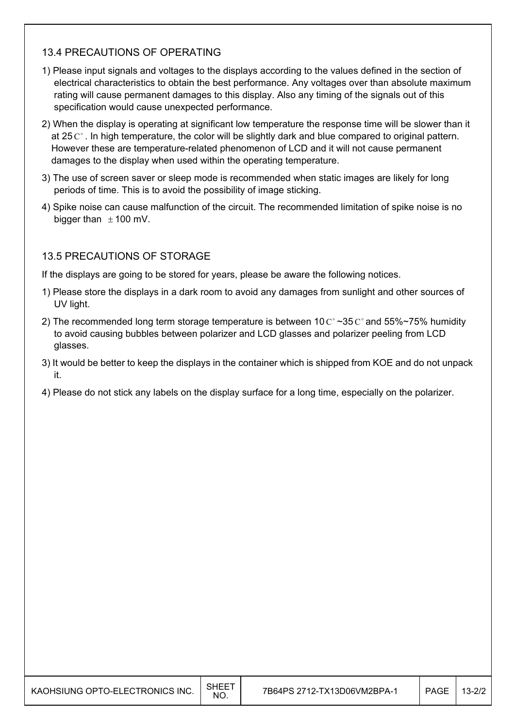### 13.4 PRECAUTIONS OF OPERATING

- 1) Please input signals and voltages to the displays according to the values defined in the section of electrical characteristics to obtain the best performance. Any voltages over than absolute maximum rating will cause permanent damages to this display. Also any timing of the signals out of this specification would cause unexpected performance.
- 2) When the display is operating at significant low temperature the response time will be slower than it at 25 $C^{\circ}$ . In high temperature, the color will be slightly dark and blue compared to original pattern. However these are temperature-related phenomenon of LCD and it will not cause permanent damages to the display when used within the operating temperature.
- 3) The use of screen saver or sleep mode is recommended when static images are likely for long periods of time. This is to avoid the possibility of image sticking.
- 4) Spike noise can cause malfunction of the circuit. The recommended limitation of spike noise is no bigger than  $\pm$  100 mV.

### 13.5 PRECAUTIONS OF STORAGE

 $\overline{\phantom{a}}$ 

If the displays are going to be stored for years, please be aware the following notices.

- 1) Please store the displays in a dark room to avoid any damages from sunlight and other sources of UV light.
- 2) The recommended long term storage temperature is between 10  $\text{C}^{\circ}$  ~35  $\text{C}^{\circ}$  and 55%~75% humidity to avoid causing bubbles between polarizer and LCD glasses and polarizer peeling from LCD glasses.
- 3) It would be better to keep the displays in the container which is shipped from KOE and do not unpack it.
- 4) Please do not stick any labels on the display surface for a long time, especially on the polarizer.